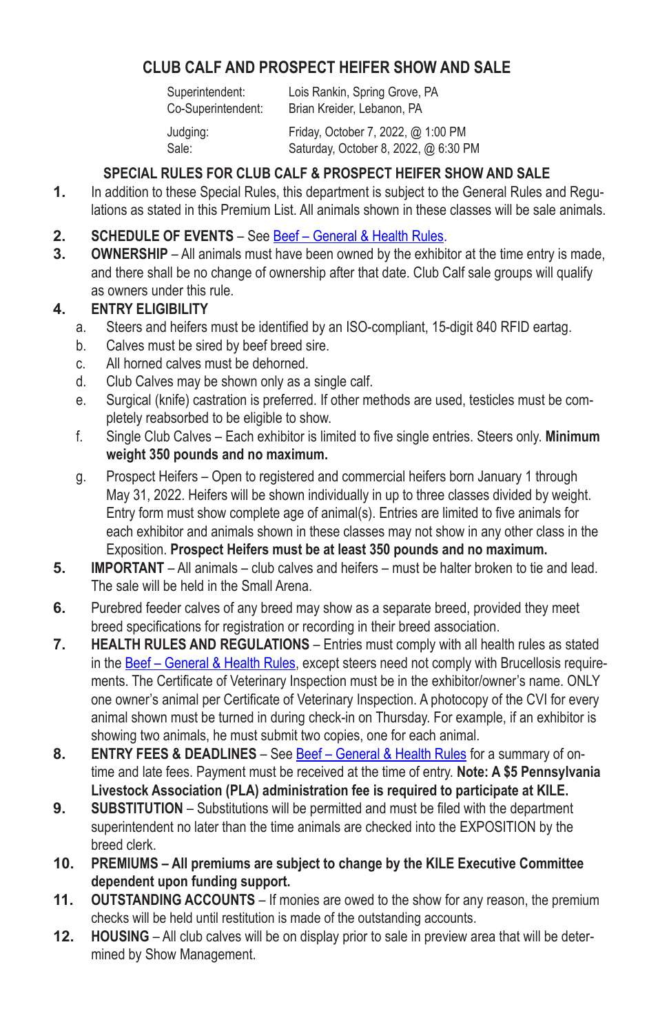# **CLUB CALF AND PROSPECT HEIFER SHOW AND SALE**

Superintendent: Lois Rankin, Spring Grove, PA Co‑Superintendent: Brian Kreider, Lebanon, PA Judging: Friday, October 7, 2022, @ 1:00 PM Sale: Saturday, October 8, 2022, @ 6:30 PM

# **SPECIAL RULES FOR CLUB CALF & PROSPECT HEIFER SHOW AND SALE**

- **1.** In addition to these Special Rules, this department is subject to the General Rules and Regulations as stated in this Premium List. All animals shown in these classes will be sale animals.
- **2. SCHEDULE OF EVENTS** See Beef General & Health Rules.
- **3. OWNERSHIP** All animals must have been owned by the exhibitor at the time entry is made, and there shall be no change of ownership after that date. Club Calf sale groups will qualify as owners under this rule.

## **4. ENTRY ELIGIBILITY**

- a. Steers and heifers must be identified by an ISO-compliant, 15-digit 840 RFID eartag.
- b. Calves must be sired by beef breed sire.
- c. All horned calves must be dehorned.
- d. Club Calves may be shown only as a single calf.
- e. Surgical (knife) castration is preferred. If other methods are used, testicles must be completely reabsorbed to be eligible to show.
- f. Single Club Calves Each exhibitor is limited to five single entries. Steers only. **Minimum weight 350 pounds and no maximum.**
- g. Prospect Heifers Open to registered and commercial heifers born January 1 through May 31, 2022. Heifers will be shown individually in up to three classes divided by weight. Entry form must show complete age of animal(s). Entries are limited to five animals for each exhibitor and animals shown in these classes may not show in any other class in the Exposition. **Prospect Heifers must be at least 350 pounds and no maximum.**
- **5. IMPORTANT** All animals club calves and heifers must be halter broken to tie and lead. The sale will be held in the Small Arena.
- **6.** Purebred feeder calves of any breed may show as a separate breed, provided they meet breed specifications for registration or recording in their breed association.
- **7. HEALTH RULES AND REGULATIONS** Entries must comply with all health rules as stated in the Beef - General & Health Rules, except steers need not comply with Brucellosis requirements. The Certificate of Veterinary Inspection must be in the exhibitor/owner's name. ONLY one owner's animal per Certificate of Veterinary Inspection. A photocopy of the CVI for every animal shown must be turned in during check-in on Thursday. For example, if an exhibitor is showing two animals, he must submit two copies, one for each animal.
- **8. ENTRY FEES & DEADLINES** See Beef General & Health Rules for a summary of ontime and late fees. Payment must be received at the time of entry. **Note: A \$5 Pennsylvania Livestock Association (PLA) administration fee is required to participate at KILE.**
- **9. SUBSTITUTION** Substitutions will be permitted and must be filed with the department superintendent no later than the time animals are checked into the EXPOSITION by the breed clerk.
- **10. PREMIUMS All premiums are subject to change by the KILE Executive Committee dependent upon funding support.**
- **11. OUTSTANDING ACCOUNTS** If monies are owed to the show for any reason, the premium checks will be held until restitution is made of the outstanding accounts.
- **12. HOUSING** All club calves will be on display prior to sale in preview area that will be determined by Show Management.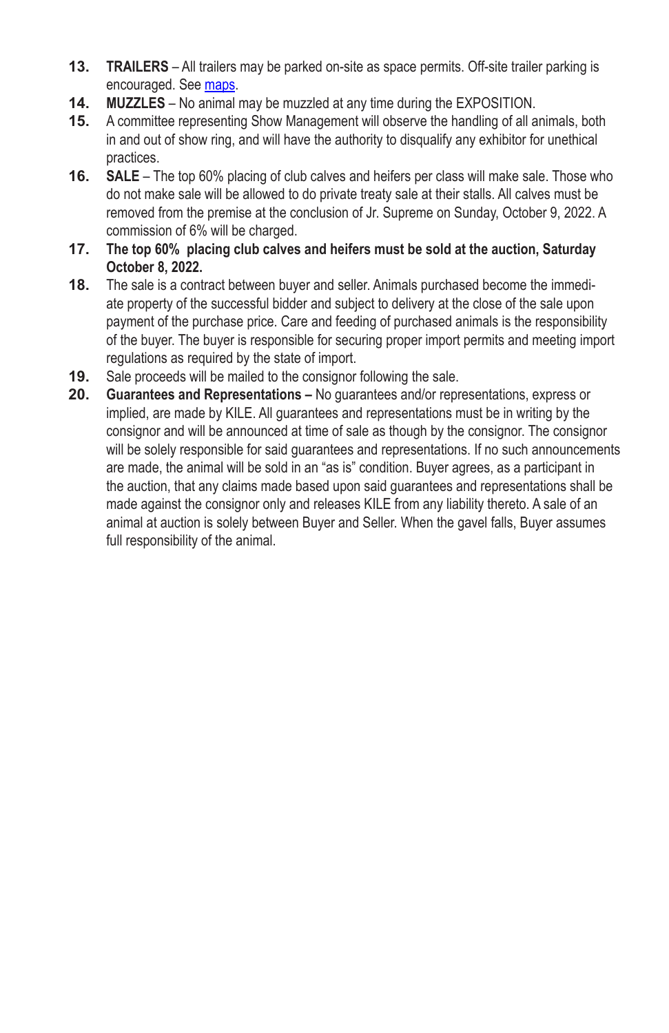- **13. TRAILERS** All trailers may be parked on-site as space permits. Off-site trailer parking is encouraged. See maps.
- **14. MUZZLES** No animal may be muzzled at any time during the EXPOSITION.
- **15.** A committee representing Show Management will observe the handling of all animals, both in and out of show ring, and will have the authority to disqualify any exhibitor for unethical practices.
- **16. SALE** The top 60% placing of club calves and heifers per class will make sale. Those who do not make sale will be allowed to do private treaty sale at their stalls. All calves must be removed from the premise at the conclusion of Jr. Supreme on Sunday, October 9, 2022. A commission of 6% will be charged.
- **17. The top 60% placing club calves and heifers must be sold at the auction, Saturday October 8, 2022.**
- **18.** The sale is a contract between buyer and seller. Animals purchased become the immedi‑ ate property of the successful bidder and subject to delivery at the close of the sale upon payment of the purchase price. Care and feeding of purchased animals is the responsibility of the buyer. The buyer is responsible for securing proper import permits and meeting import regulations as required by the state of import.
- **19.** Sale proceeds will be mailed to the consignor following the sale.
- **20. Guarantees and Representations** No guarantees and/or representations, express or implied, are made by KILE. All guarantees and representations must be in writing by the consignor and will be announced at time of sale as though by the consignor. The consignor will be solely responsible for said guarantees and representations. If no such announcements are made, the animal will be sold in an "as is" condition. Buyer agrees, as a participant in the auction, that any claims made based upon said guarantees and representations shall be made against the consignor only and releases KILE from any liability thereto. A sale of an animal at auction is solely between Buyer and Seller. When the gavel falls, Buyer assumes full responsibility of the animal.